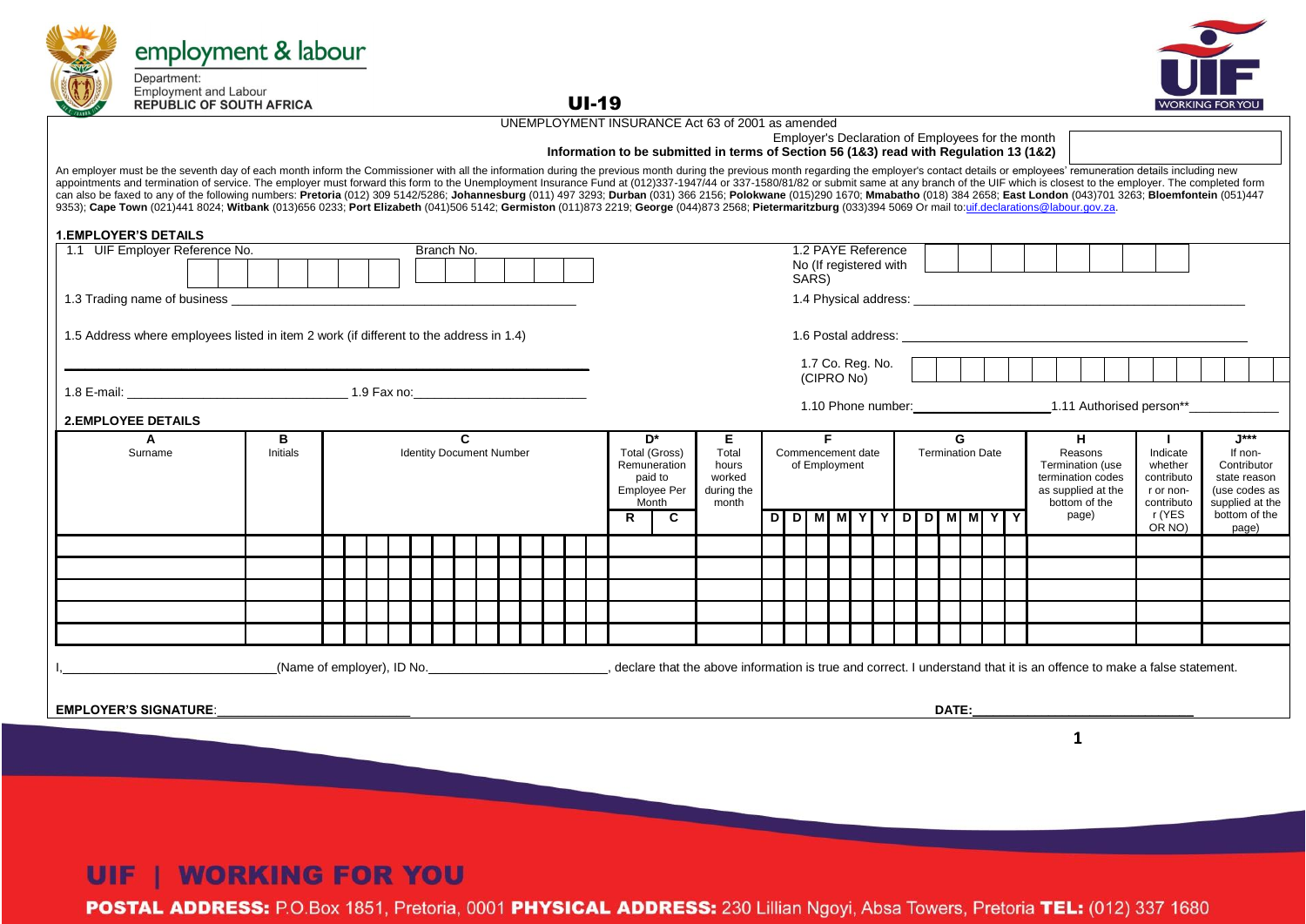| employment & labour                                                                                                                                                                                                                                                                                                                                                                                                                                                                                                                                                                                                                                                                                                                                                                                                                                                                                                 |               |  |  |  |  |                                                 |  |  |  |  |              |  |                                                                                |                                                                                                                                                                                                                         |  |                                                   |    |  |  |                 |                              |                |       |                                                                                                                                                                                                                                |                                                             |  |                                                                                                                                  |  |                                  |  |
|---------------------------------------------------------------------------------------------------------------------------------------------------------------------------------------------------------------------------------------------------------------------------------------------------------------------------------------------------------------------------------------------------------------------------------------------------------------------------------------------------------------------------------------------------------------------------------------------------------------------------------------------------------------------------------------------------------------------------------------------------------------------------------------------------------------------------------------------------------------------------------------------------------------------|---------------|--|--|--|--|-------------------------------------------------|--|--|--|--|--------------|--|--------------------------------------------------------------------------------|-------------------------------------------------------------------------------------------------------------------------------------------------------------------------------------------------------------------------|--|---------------------------------------------------|----|--|--|-----------------|------------------------------|----------------|-------|--------------------------------------------------------------------------------------------------------------------------------------------------------------------------------------------------------------------------------|-------------------------------------------------------------|--|----------------------------------------------------------------------------------------------------------------------------------|--|----------------------------------|--|
| Department:<br><b>Employment and Labour</b><br><b>REPUBLIC OF SOUTH AFRICA</b>                                                                                                                                                                                                                                                                                                                                                                                                                                                                                                                                                                                                                                                                                                                                                                                                                                      |               |  |  |  |  |                                                 |  |  |  |  | <b>UI-19</b> |  |                                                                                |                                                                                                                                                                                                                         |  |                                                   |    |  |  |                 |                              |                |       |                                                                                                                                                                                                                                |                                                             |  | <b>WORKING FOR</b>                                                                                                               |  |                                  |  |
|                                                                                                                                                                                                                                                                                                                                                                                                                                                                                                                                                                                                                                                                                                                                                                                                                                                                                                                     |               |  |  |  |  |                                                 |  |  |  |  |              |  |                                                                                | UNEMPLOYMENT INSURANCE Act 63 of 2001 as amended                                                                                                                                                                        |  |                                                   |    |  |  |                 |                              |                |       |                                                                                                                                                                                                                                |                                                             |  |                                                                                                                                  |  |                                  |  |
|                                                                                                                                                                                                                                                                                                                                                                                                                                                                                                                                                                                                                                                                                                                                                                                                                                                                                                                     |               |  |  |  |  |                                                 |  |  |  |  |              |  |                                                                                | Information to be submitted in terms of Section 56 (1&3) read with Regulation 13 (1&2)                                                                                                                                  |  | Employer's Declaration of Employees for the month |    |  |  |                 |                              |                |       |                                                                                                                                                                                                                                |                                                             |  |                                                                                                                                  |  |                                  |  |
| An employer must be the seventh day of each month inform the Commissioner with all the information during the previous month during the previous month regarding the employer's contact details or employees' remuneration det<br>appointments and termination of service. The employer must forward this form to the Unemployment Insurance Fund at (012)337-1947/44 or 337-1580/81/82 or submit same at any branch of the UIF which is closest to the employer<br>can also be faxed to any of the following numbers: Pretoria (012) 309 5142/5286; Johannesburg (011) 497 3293; Durban (031) 366 2156; Polokwane (015)290 1670; Mmabatho (018) 384 2658; East London (043)701 3263; Bloemfontein<br>9353); Cape Town (021)441 8024; Witbank (013)656 0233; Port Elizabeth (041)506 5142; Germiston (011)873 2219; George (044)873 2568; Pietermaritzburg (033)394 5069 Or mail to:uif.declarations@labour.gov.za. |               |  |  |  |  |                                                 |  |  |  |  |              |  |                                                                                |                                                                                                                                                                                                                         |  |                                                   |    |  |  |                 |                              |                |       |                                                                                                                                                                                                                                |                                                             |  |                                                                                                                                  |  |                                  |  |
| <b>1.EMPLOYER'S DETAILS</b>                                                                                                                                                                                                                                                                                                                                                                                                                                                                                                                                                                                                                                                                                                                                                                                                                                                                                         |               |  |  |  |  |                                                 |  |  |  |  |              |  |                                                                                |                                                                                                                                                                                                                         |  |                                                   |    |  |  |                 |                              |                |       |                                                                                                                                                                                                                                |                                                             |  |                                                                                                                                  |  |                                  |  |
| 1.1 UIF Employer Reference No.                                                                                                                                                                                                                                                                                                                                                                                                                                                                                                                                                                                                                                                                                                                                                                                                                                                                                      |               |  |  |  |  | Branch No.                                      |  |  |  |  |              |  |                                                                                |                                                                                                                                                                                                                         |  | 1.2 PAYE Reference                                |    |  |  |                 |                              |                |       |                                                                                                                                                                                                                                |                                                             |  |                                                                                                                                  |  |                                  |  |
|                                                                                                                                                                                                                                                                                                                                                                                                                                                                                                                                                                                                                                                                                                                                                                                                                                                                                                                     |               |  |  |  |  |                                                 |  |  |  |  |              |  |                                                                                |                                                                                                                                                                                                                         |  | No (If registered with<br>SARS)                   |    |  |  |                 |                              |                |       |                                                                                                                                                                                                                                |                                                             |  |                                                                                                                                  |  |                                  |  |
| 1.3 Trading name of business experience and the contract of the contract of the contract of the contract of the contract of the contract of the contract of the contract of the contract of the contract of the contract of th                                                                                                                                                                                                                                                                                                                                                                                                                                                                                                                                                                                                                                                                                      |               |  |  |  |  |                                                 |  |  |  |  |              |  |                                                                                |                                                                                                                                                                                                                         |  |                                                   |    |  |  |                 |                              |                |       |                                                                                                                                                                                                                                |                                                             |  |                                                                                                                                  |  |                                  |  |
| 1.5 Address where employees listed in item 2 work (if different to the address in 1.4)                                                                                                                                                                                                                                                                                                                                                                                                                                                                                                                                                                                                                                                                                                                                                                                                                              |               |  |  |  |  |                                                 |  |  |  |  |              |  |                                                                                |                                                                                                                                                                                                                         |  |                                                   |    |  |  |                 |                              |                |       |                                                                                                                                                                                                                                |                                                             |  |                                                                                                                                  |  |                                  |  |
|                                                                                                                                                                                                                                                                                                                                                                                                                                                                                                                                                                                                                                                                                                                                                                                                                                                                                                                     |               |  |  |  |  |                                                 |  |  |  |  |              |  |                                                                                |                                                                                                                                                                                                                         |  | 1.7 Co. Reg. No. $\vert$<br>(CIPRO No)            |    |  |  | $\sim 10^{-10}$ |                              | $\blacksquare$ |       |                                                                                                                                                                                                                                |                                                             |  |                                                                                                                                  |  |                                  |  |
|                                                                                                                                                                                                                                                                                                                                                                                                                                                                                                                                                                                                                                                                                                                                                                                                                                                                                                                     |               |  |  |  |  |                                                 |  |  |  |  |              |  |                                                                                |                                                                                                                                                                                                                         |  |                                                   |    |  |  |                 |                              |                |       |                                                                                                                                                                                                                                |                                                             |  | 1.10 Phone number: 1.11 Authorised person**                                                                                      |  |                                  |  |
| <b>2.EMPLOYEE DETAILS</b>                                                                                                                                                                                                                                                                                                                                                                                                                                                                                                                                                                                                                                                                                                                                                                                                                                                                                           |               |  |  |  |  |                                                 |  |  |  |  |              |  |                                                                                |                                                                                                                                                                                                                         |  |                                                   |    |  |  |                 |                              |                |       |                                                                                                                                                                                                                                |                                                             |  |                                                                                                                                  |  |                                  |  |
| A<br>Surname                                                                                                                                                                                                                                                                                                                                                                                                                                                                                                                                                                                                                                                                                                                                                                                                                                                                                                        | в<br>Initials |  |  |  |  | $\mathbf{c}$<br><b>Identity Document Number</b> |  |  |  |  |              |  | D*<br>Total (Gross)<br>Remuneration<br>paid to<br><b>Employee Per</b><br>Month | Е.<br>Total<br>hours<br>worked<br>during the<br>month                                                                                                                                                                   |  | Commencement date<br>of Employment                | F. |  |  |                 | G<br><b>Termination Date</b> |                |       | H<br>Reasons<br>bottom of the                                                                                                                                                                                                  | Termination (use<br>termination codes<br>as supplied at the |  | $\mathbf{I}$<br>Indicate<br>whether<br>contributo<br>state reason<br>r or non-<br>(use codes as<br>supplied at the<br>contributo |  | $1***$<br>If non-<br>Contributor |  |
|                                                                                                                                                                                                                                                                                                                                                                                                                                                                                                                                                                                                                                                                                                                                                                                                                                                                                                                     |               |  |  |  |  |                                                 |  |  |  |  | R<br>C       |  |                                                                                |                                                                                                                                                                                                                         |  | D D M M Y                                         |    |  |  | Y D D M M Y Y   |                              |                | page) |                                                                                                                                                                                                                                | r (YES                                                      |  | bottom of the                                                                                                                    |  |                                  |  |
|                                                                                                                                                                                                                                                                                                                                                                                                                                                                                                                                                                                                                                                                                                                                                                                                                                                                                                                     |               |  |  |  |  |                                                 |  |  |  |  |              |  |                                                                                |                                                                                                                                                                                                                         |  |                                                   |    |  |  |                 |                              |                |       |                                                                                                                                                                                                                                |                                                             |  | OR NO)                                                                                                                           |  | page)                            |  |
|                                                                                                                                                                                                                                                                                                                                                                                                                                                                                                                                                                                                                                                                                                                                                                                                                                                                                                                     |               |  |  |  |  |                                                 |  |  |  |  |              |  |                                                                                |                                                                                                                                                                                                                         |  |                                                   |    |  |  |                 |                              |                |       |                                                                                                                                                                                                                                |                                                             |  |                                                                                                                                  |  |                                  |  |
|                                                                                                                                                                                                                                                                                                                                                                                                                                                                                                                                                                                                                                                                                                                                                                                                                                                                                                                     |               |  |  |  |  |                                                 |  |  |  |  |              |  |                                                                                |                                                                                                                                                                                                                         |  |                                                   |    |  |  |                 |                              |                |       |                                                                                                                                                                                                                                |                                                             |  |                                                                                                                                  |  |                                  |  |
|                                                                                                                                                                                                                                                                                                                                                                                                                                                                                                                                                                                                                                                                                                                                                                                                                                                                                                                     |               |  |  |  |  |                                                 |  |  |  |  |              |  |                                                                                |                                                                                                                                                                                                                         |  |                                                   |    |  |  |                 |                              |                |       |                                                                                                                                                                                                                                |                                                             |  |                                                                                                                                  |  |                                  |  |
|                                                                                                                                                                                                                                                                                                                                                                                                                                                                                                                                                                                                                                                                                                                                                                                                                                                                                                                     |               |  |  |  |  |                                                 |  |  |  |  |              |  |                                                                                |                                                                                                                                                                                                                         |  |                                                   |    |  |  |                 |                              |                |       |                                                                                                                                                                                                                                |                                                             |  |                                                                                                                                  |  |                                  |  |
|                                                                                                                                                                                                                                                                                                                                                                                                                                                                                                                                                                                                                                                                                                                                                                                                                                                                                                                     |               |  |  |  |  |                                                 |  |  |  |  |              |  |                                                                                |                                                                                                                                                                                                                         |  |                                                   |    |  |  |                 |                              |                |       |                                                                                                                                                                                                                                |                                                             |  |                                                                                                                                  |  |                                  |  |
|                                                                                                                                                                                                                                                                                                                                                                                                                                                                                                                                                                                                                                                                                                                                                                                                                                                                                                                     |               |  |  |  |  |                                                 |  |  |  |  |              |  |                                                                                | (Name of employer), ID No. Noting the statement. (Name of employer), ID No. Note that the statement cover that the above information is true and correct. I understand that it is an offence to make a false statement. |  |                                                   |    |  |  |                 |                              |                |       |                                                                                                                                                                                                                                |                                                             |  |                                                                                                                                  |  |                                  |  |
|                                                                                                                                                                                                                                                                                                                                                                                                                                                                                                                                                                                                                                                                                                                                                                                                                                                                                                                     |               |  |  |  |  |                                                 |  |  |  |  |              |  |                                                                                |                                                                                                                                                                                                                         |  |                                                   |    |  |  |                 |                              |                |       |                                                                                                                                                                                                                                |                                                             |  |                                                                                                                                  |  |                                  |  |
| <b>EMPLOYER'S SIGNATURE:</b>                                                                                                                                                                                                                                                                                                                                                                                                                                                                                                                                                                                                                                                                                                                                                                                                                                                                                        |               |  |  |  |  |                                                 |  |  |  |  |              |  |                                                                                |                                                                                                                                                                                                                         |  |                                                   |    |  |  |                 |                              |                |       | DATE: the contract of the contract of the contract of the contract of the contract of the contract of the contract of the contract of the contract of the contract of the contract of the contract of the contract of the cont |                                                             |  |                                                                                                                                  |  |                                  |  |
|                                                                                                                                                                                                                                                                                                                                                                                                                                                                                                                                                                                                                                                                                                                                                                                                                                                                                                                     |               |  |  |  |  |                                                 |  |  |  |  |              |  |                                                                                |                                                                                                                                                                                                                         |  |                                                   |    |  |  |                 |                              |                |       | 1                                                                                                                                                                                                                              |                                                             |  |                                                                                                                                  |  |                                  |  |
|                                                                                                                                                                                                                                                                                                                                                                                                                                                                                                                                                                                                                                                                                                                                                                                                                                                                                                                     |               |  |  |  |  |                                                 |  |  |  |  |              |  |                                                                                |                                                                                                                                                                                                                         |  |                                                   |    |  |  |                 |                              |                |       |                                                                                                                                                                                                                                |                                                             |  |                                                                                                                                  |  |                                  |  |

## **UIF | WORKING FOR YOU**

POSTAL ADDRESS: P.O.Box 1851, Pretoria, 0001 PHYSICAL ADDRESS: 230 Lillian Ngoyi, Absa Towers, Pretoria TEL: (012) 337 1680